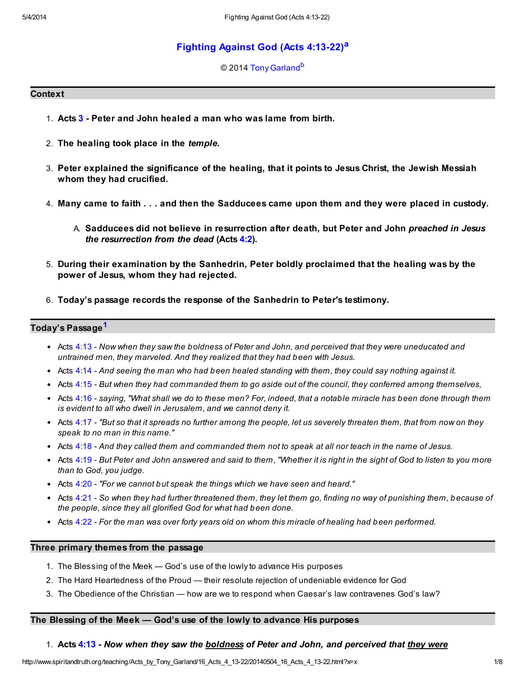# [Fighting Against God \(Acts 4:13-22\)](http://www.spiritandtruth.org/teaching/Acts_by_Tony_Garland/16_Acts_4_13-22/index.htm)[a](#page-7-0)

### <span id="page-0-2"></span><span id="page-0-1"></span>© 2014 [Tony Garland](http://www.spiritandtruth.org/id/tg.htm)<sup>[b](#page-7-1)</sup>

### **Context**

- 1. Acts [3](http://www.spiritandtruth.org/bibles/nasb/b44c003.htm#Acts_C3V1) Peter and John healed a man who was lame from birth.
- 2. The healing took place in the temple.
- 3. Peter explained the significance of the healing, that it points to Jesus Christ, the Jewish Messiah whom they had crucified.
- 4. Many came to faith . . . and then the Sadducees came upon them and they were placed in custody.
	- A. Sadducees did not believe in resurrection after death, but Peter and John preached in Jesus the resurrection from the dead (Acts [4:2](http://www.spiritandtruth.org/bibles/nasb/b44c004.htm#Acts_C4V2)).
- 5. During their examination by the Sanhedrin, Peter boldly proclaimed that the healing was by the power of Jesus, whom they had rejected.
- 6. Today's passage records the response of the Sanhedrin to Peter's testimony.

# Today's Passage<sup>[1](#page-7-2)</sup>

- <span id="page-0-0"></span>• Acts [4:13](http://www.spiritandtruth.org/bibles/nasb/b44c004.htm#Acts_C4V13) - Now when they saw the boldness of Peter and John, and perceived that they were uneducated and untrained men, they marveled. And they realized that they had been with Jesus.
- Acts [4:14](http://www.spiritandtruth.org/bibles/nasb/b44c004.htm#Acts_C4V14) And seeing the man who had been healed standing with them, they could say nothing against it.
- Acts  $4:15$  But when they had commanded them to go aside out of the council, they conferred among themselves,
- Acts [4:16](http://www.spiritandtruth.org/bibles/nasb/b44c004.htm#Acts_C4V16) saying, "What shall we do to these men? For, indeed, that a notable miracle has been done through them is evident to all who dwell in Jerusalem, and we cannot deny it.
- $\bullet$  Acts [4:17](http://www.spiritandtruth.org/bibles/nasb/b44c004.htm#Acts_C4V17) "But so that it spreads no further among the people, let us severely threaten them, that from now on they speak to no man in this name."
- Acts [4:18](http://www.spiritandtruth.org/bibles/nasb/b44c004.htm#Acts_C4V18) And they called them and commanded them not to speak at all nor teach in the name of Jesus.
- Acts [4:19](http://www.spiritandtruth.org/bibles/nasb/b44c004.htm#Acts_C4V19) But Peter and John answered and said to them, "Whether it is right in the sight of God to listen to you more than to God, you judge.
- $\bullet$  Acts [4:20](http://www.spiritandtruth.org/bibles/nasb/b44c004.htm#Acts_C4V20) "For we cannot but speak the things which we have seen and heard."
- Acts [4:21](http://www.spiritandtruth.org/bibles/nasb/b44c004.htm#Acts_C4V21) So when they had further threatened them, they let them go, finding no way of punishing them, because of the people, since they all glorified God for what had been done.
- Acts [4:22](http://www.spiritandtruth.org/bibles/nasb/b44c004.htm#Acts_C4V22) For the man was over forty years old on whom this miracle of healing had been performed.

### Three primary themes from the passage

- 1. The Blessing of the Meek God's use of the lowly to advance His purposes
- 2. The Hard Heartedness of the Proud their resolute rejection of undeniable evidence for God
- 3. The Obedience of the Christian how are we to respond when Caesar's law contravenes God's law?

# The Blessing of the Meek — God's use of the lowly to advance His purposes

# 1. Acts [4:13](http://www.spiritandtruth.org/bibles/nasb/b44c004.htm#Acts_C4V13) - Now when they saw the **boldness** of Peter and John, and perceived that they were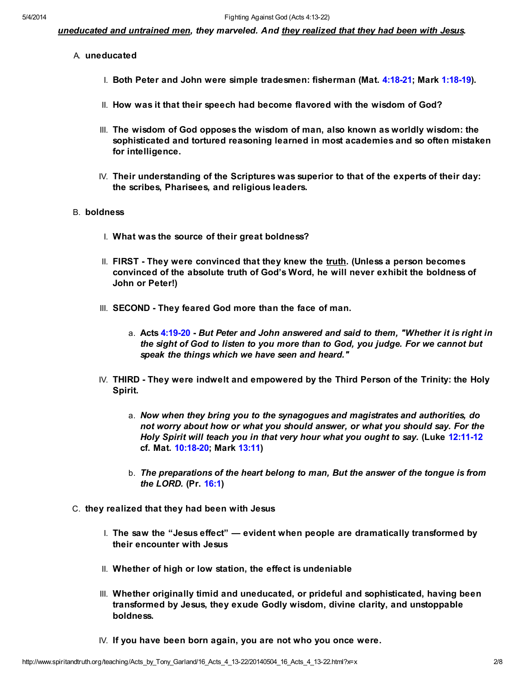uneducated and untrained men, they marveled. And they realized that they had been with Jesus.

- A. uneducated
	- I. Both Peter and John were simple tradesmen: fisherman (Mat. [4:18-21;](http://www.spiritandtruth.org/bibles/nasb/b40c004.htm#Mat._C4V18) Mark [1:18-19\)](http://www.spiritandtruth.org/bibles/nasb/b41c001.htm#Mark_C1V18).
	- II. How was it that their speech had become flavored with the wisdom of God?
	- III. The wisdom of God opposes the wisdom of man, also known as worldly wisdom: the sophisticated and tortured reasoning learned in most academies and so often mistaken for intelligence.
	- IV. Their understanding of the Scriptures was superior to that of the experts of their day: the scribes, Pharisees, and religious leaders.

# B. boldness

- I. What was the source of their great boldness?
- II. FIRST They were convinced that they knew the truth. (Unless a person becomes convinced of the absolute truth of God's Word, he will never exhibit the boldness of John or Peter!)
- III. SECOND They feared God more than the face of man.
	- a. Acts [4:19-20](http://www.spiritandtruth.org/bibles/nasb/b44c004.htm#Acts_C4V19) But Peter and John answered and said to them, "Whether it is right in the sight of God to listen to you more than to God, you judge. For we cannot but speak the things which we have seen and heard."
- IV. THIRD They were indwelt and empowered by the Third Person of the Trinity: the Holy Spirit.
	- a. Now when they bring you to the synagogues and magistrates and authorities, do not worry about how or what you should answer, or what you should say. For the Holy Spirit will teach you in that very hour what you ought to say. (Luke [12:11-12](http://www.spiritandtruth.org/bibles/nasb/b42c012.htm#Luke_C12V11) cf. Mat. [10:18-20;](http://www.spiritandtruth.org/bibles/nasb/b40c010.htm#Mat._C10V18) Mark [13:11\)](http://www.spiritandtruth.org/bibles/nasb/b41c013.htm#Mark_C13V11)
	- b. The preparations of the heart belong to man, But the answer of the tongue is from the LORD. (Pr. [16:1](http://www.spiritandtruth.org/bibles/nasb/b20c016.htm#Pr._C16V1))
- C. they realized that they had been with Jesus
	- I. The saw the "Jesus effect"  $\rightharpoonup$  evident when people are dramatically transformed by their encounter with Jesus
	- II. Whether of high or low station, the effect is undeniable
	- III. Whether originally timid and uneducated, or prideful and sophisticated, having been transformed by Jesus, they exude Godly wisdom, divine clarity, and unstoppable boldness.
	- IV. If you have been born again, you are not who you once were.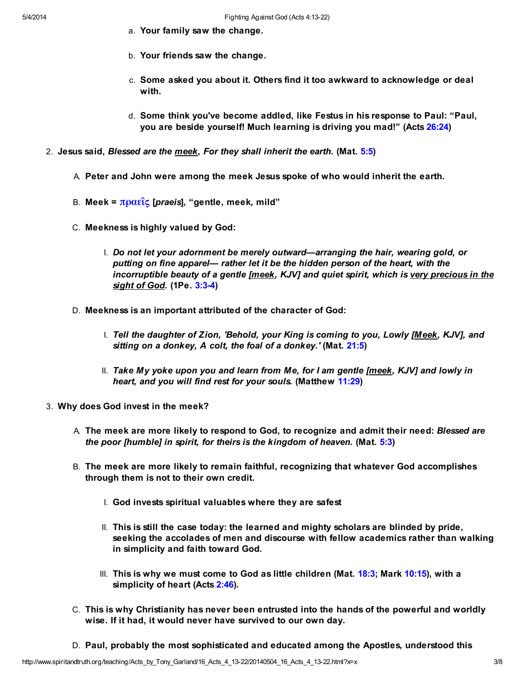- a. Your family saw the change.
- b. Your friends saw the change.
- c. Some asked you about it. Others find it too awkward to acknowledge or deal with.
- d. Some think you've become addled, like Festus in his response to Paul: "Paul, you are beside yourself! Much learning is driving you mad!" (Acts [26:24](http://www.spiritandtruth.org/bibles/nasb/b44c026.htm#Acts_C26V24))
- 2. Jesus said, Blessed are the meek, For they shall inherit the earth. (Mat. [5:5](http://www.spiritandtruth.org/bibles/nasb/b40c005.htm#Mat._C5V5))
	- A. Peter and John were among the meek Jesus spoke of who would inherit the earth.
	- B. Meek =  $\pi$ ραεῖς [*praeis*], "gentle, meek, mild"
	- C. Meekness is highly valued by God:
		- I. Do not let your adornment be merely outward—arranging the hair, wearing gold, or putting on fine apparel— rather let it be the hidden person of the heart, with the incorruptible beauty of a gentle [meek, KJV] and quiet spirit, which is very precious in the sight of God. (1Pe. [3:3-4\)](http://www.spiritandtruth.org/bibles/nasb/b60c003.htm#1Pe._C3V3)
	- D. Meekness is an important attributed of the character of God:
		- I. Tell the daughter of Zion, 'Behold, your King is coming to you, Lowly [Meek, KJV], and sitting on a donkey, A colt, the foal of a donkey.' (Mat. [21:5\)](http://www.spiritandtruth.org/bibles/nasb/b40c021.htm#Mat._C21V5)
		- II. Take My yoke upon you and learn from Me, for I am gentle [meek, KJV] and lowly in heart, and you will find rest for your souls. (Matthew [11:29\)](http://www.spiritandtruth.org/bibles/nasb/b40c011.htm#Mat._C11V29)
- 3. Why does God invest in the meek?
	- A. The meek are more likely to respond to God, to recognize and admit their need: Blessed are the poor [humble] in spirit, for theirs is the kingdom of heaven. (Mat.  $5:3$ )
	- B. The meek are more likely to remain faithful, recognizing that whatever God accomplishes through them is not to their own credit.
		- I. God invests spiritual valuables where they are safest
		- II. This is still the case today: the learned and mighty scholars are blinded by pride, seeking the accolades of men and discourse with fellow academics rather than walking in simplicity and faith toward God.
		- III. This is why we must come to God as little children (Mat. [18:3](http://www.spiritandtruth.org/bibles/nasb/b40c018.htm#Mat._C18V3); Mark [10:15\)](http://www.spiritandtruth.org/bibles/nasb/b41c010.htm#Mark_C10V15), with a simplicity of heart (Acts [2:46](http://www.spiritandtruth.org/bibles/nasb/b44c002.htm#Acts_C2V46)).
	- C. This is why Christianity has never been entrusted into the hands of the powerful and worldly wise. If it had, it would never have survived to our own day.
	- D. Paul, probably the most sophisticated and educated among the Apostles, understood this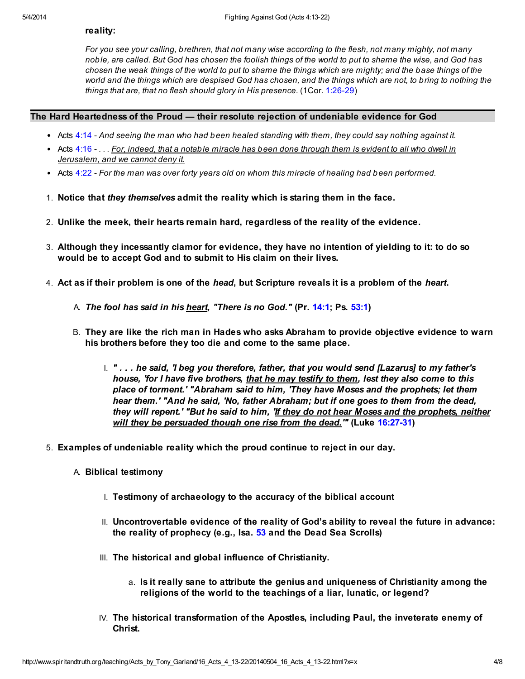### reality:

For you see your calling, brethren, that not many wise according to the flesh, not many mighty, not many noble, are called. But God has chosen the foolish things of the world to put to shame the wise, and God has chosen the weak things of the world to put to shame the things which are mighty; and the base things of the world and the things which are despised God has chosen, and the things which are not, to bring to nothing the things that are, that no flesh should glory in His presence. (1Cor. [1:26-29](http://www.spiritandtruth.org/bibles/nasb/b46c001.htm#1Cor._C1V26))

### The Hard Heartedness of the Proud — their resolute rejection of undeniable evidence for God

- Acts  $4:14$  And seeing the man who had been healed standing with them, they could say nothing against it.
- Acts  $4:16$   $\dots$  For, indeed, that a notable miracle has been done through them is evident to all who dwell in Jerusalem, and we cannot deny it.
- Acts [4:22](http://www.spiritandtruth.org/bibles/nasb/b44c004.htm#Acts_C4V22) For the man was over forty years old on whom this miracle of healing had been performed.
- 1. Notice that they themselves admit the reality which is staring them in the face.
- 2. Unlike the meek, their hearts remain hard, regardless of the reality of the evidence.
- 3. Although they incessantly clamor for evidence, they have no intention of yielding to it: to do so would be to accept God and to submit to His claim on their lives.
- 4. Act as if their problem is one of the *head*, but Scripture reveals it is a problem of the *heart*.
	- A. The fool has said in his heart, "There is no God." (Pr. [14:1;](http://www.spiritandtruth.org/bibles/nasb/b20c014.htm#Pr._C14V1) Ps. [53:1](http://www.spiritandtruth.org/bibles/nasb/b19c053.htm#Ps._C53V1))
	- B. They are like the rich man in Hades who asks Abraham to provide objective evidence to warn his brothers before they too die and come to the same place.
		- I. " . . . he said, 'I beg you therefore, father, that you would send [Lazarus] to my father's house, 'for I have five brothers, that he may testify to them, lest they also come to this place of torment.' "Abraham said to him, 'They have Moses and the prophets; let them hear them.' "And he said, 'No, father Abraham; but if one goes to them from the dead, they will repent.' "But he said to him, 'If they do not hear Moses and the prophets, neither will they be persuaded though one rise from the dead." (Luke [16:27-31\)](http://www.spiritandtruth.org/bibles/nasb/b42c016.htm#Luke_C16V27)
- 5. Examples of undeniable reality which the proud continue to reject in our day.
	- A. Biblical testimony
		- I. Testimony of archaeology to the accuracy of the biblical account
		- II. Uncontrovertable evidence of the reality of God's ability to reveal the future in advance: the reality of prophecy (e.g., Isa. [53](http://www.spiritandtruth.org/bibles/nasb/b23c053.htm#Isa._C53V1) and the Dead Sea Scrolls)
		- III. The historical and global influence of Christianity.
			- a. Is it really sane to attribute the genius and uniqueness of Christianity among the religions of the world to the teachings of a liar, lunatic, or legend?
		- IV. The historical transformation of the Apostles, including Paul, the inveterate enemy of Christ.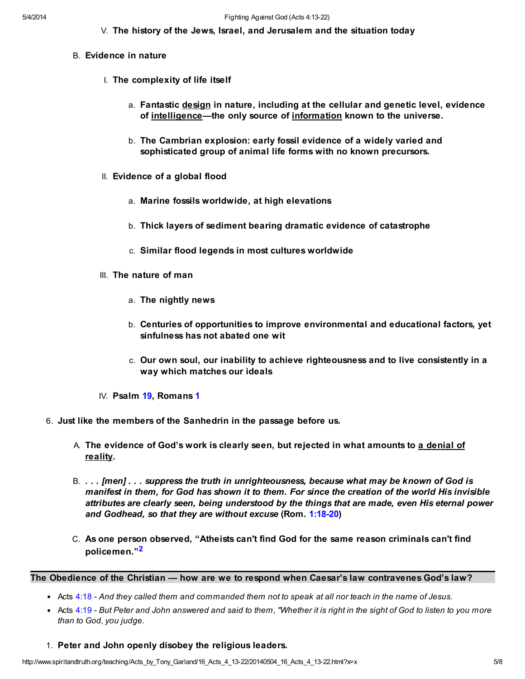V. The history of the Jews, Israel, and Jerusalem and the situation today

- B. Evidence in nature
	- I. The complexity of life itself
		- a. Fantastic design in nature, including at the cellular and genetic level, evidence of intelligence—the only source of information known to the universe.
		- b. The Cambrian explosion: early fossil evidence of a widely varied and sophisticated group of animal life forms with no known precursors.
	- II. Evidence of a global flood
		- a. Marine fossils worldwide, at high elevations
		- b. Thick layers of sediment bearing dramatic evidence of catastrophe
		- c. Similar flood legends in most cultures worldwide
	- III. The nature of man
		- a. The nightly news
		- b. Centuries of opportunities to improve environmental and educational factors, yet sinfulness has not abated one wit
		- c. Our own soul, our inability to achieve righteousness and to live consistently in a way which matches our ideals
	- IV. Psalm [19](http://www.spiritandtruth.org/bibles/nasb/b19c019.htm#Ps._C19V1), Romans [1](http://www.spiritandtruth.org/bibles/nasb/b45c001.htm#Rom._C1V1)
- 6. Just like the members of the Sanhedrin in the passage before us.
	- A. The evidence of God's work is clearly seen, but rejected in what amounts to <u>a denial of</u> reality.
	- B. . . . [men] . . . suppress the truth in unrighteousness, because what may be known of God is manifest in them, for God has shown it to them. For since the creation of the world His invisible attributes are clearly seen, being understood by the things that are made, even His eternal power and Godhead, so that they are without excuse (Rom. [1:18-20](http://www.spiritandtruth.org/bibles/nasb/b45c001.htm#Rom._C1V18))
	- C. As one person observed, "Atheists can't find God for the same reason criminals can't find policemen."[2](#page-7-3)

The Obedience of the Christian — how are we to respond when Caesar's law contravenes God's law?

- <span id="page-4-0"></span>• Acts [4:18](http://www.spiritandtruth.org/bibles/nasb/b44c004.htm#Acts_C4V18) - And they called them and commanded them not to speak at all nor teach in the name of Jesus.
- Acts [4:19](http://www.spiritandtruth.org/bibles/nasb/b44c004.htm#Acts_C4V19) But Peter and John answered and said to them, "Whether it is right in the sight of God to listen to you more than to God, you judge.
- 1. Peter and John openly disobey the religious leaders.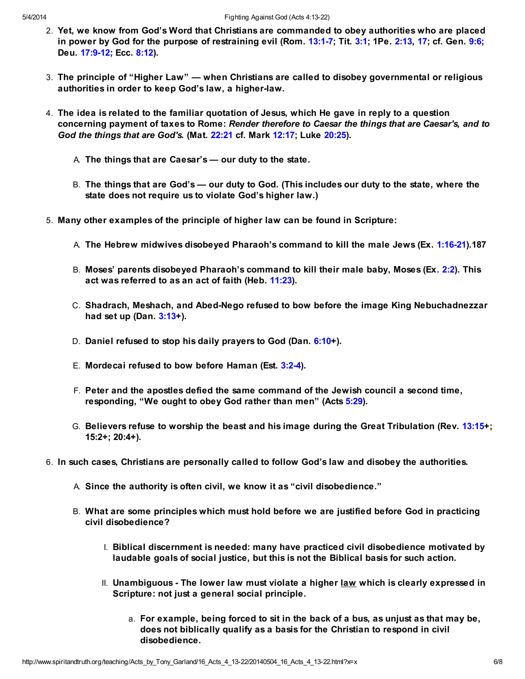- 2. Yet, we know from God's Word that Christians are commanded to obey authorities who are placed in power by God for the purpose of restraining evil (Rom. [13:1-7;](http://www.spiritandtruth.org/bibles/nasb/b45c013.htm#Rom._C13V1) Tit. [3:1;](http://www.spiritandtruth.org/bibles/nasb/b56c003.htm#Tit._C3V1) 1Pe. [2:13,](http://www.spiritandtruth.org/bibles/nasb/b60c002.htm#1Pe._C2V13) [17](http://www.spiritandtruth.org/bibles/nasb/b60c002.htm#1Pe._C2V17); cf. Gen. [9:6;](http://www.spiritandtruth.org/bibles/nasb/b01c009.htm#Gen._C9V6) Deu. [17:9-12](http://www.spiritandtruth.org/bibles/nasb/b05c017.htm#Deu._C17V9); Ecc. [8:12\)](http://www.spiritandtruth.org/bibles/nasb/b21c008.htm#Ecc._C8V12).
- 3. The principle of "Higher Law" when Christians are called to disobey governmental or religious authorities in order to keep God's law, a higher-law.
- 4. The idea is related to the familiar quotation of Jesus, which He gave in reply to a question concerning payment of taxes to Rome: Render therefore to Caesar the things that are Caesar's, and to God the things that are God's. (Mat. [22:21](http://www.spiritandtruth.org/bibles/nasb/b40c022.htm#Mat._C22V21) cf. Mark [12:17;](http://www.spiritandtruth.org/bibles/nasb/b41c012.htm#Mark_C12V17) Luke [20:25\)](http://www.spiritandtruth.org/bibles/nasb/b42c020.htm#Luke_C20V25).
	- A. The things that are Caesar's our duty to the state.
	- B. The things that are God's our duty to God. (This includes our duty to the state, where the state does not require us to violate God's higher law.)
- 5. Many other examples of the principle of higher law can be found in Scripture:
	- A. The Hebrew midwives disobeyed Pharaoh's command to kill the male Jews (Ex. [1:16-21\)](http://www.spiritandtruth.org/bibles/nasb/b02c001.htm#Ex._C1V16).187
	- B. Moses' parents disobeyed Pharaoh's command to kill their male baby, Moses (Ex. [2:2](http://www.spiritandtruth.org/bibles/nasb/b02c002.htm#Ex._C2V2)). This act was referred to as an act of faith (Heb. [11:23\)](http://www.spiritandtruth.org/bibles/nasb/b58c011.htm#Heb._C11V23).
	- C. Shadrach, Meshach, and Abed-Nego refused to bow before the image King Nebuchadnezzar had set up  $(Dan. 3:13+)$  $(Dan. 3:13+)$  $(Dan. 3:13+)$ .
	- D. Daniel refused to stop his daily prayers to God (Dan. [6:10](http://www.spiritandtruth.org/bibles/nasb/b27c006.htm#Dan._C6V10)+).
	- E. Mordecai refused to bow before Haman (Est. [3:2-4\)](http://www.spiritandtruth.org/bibles/nasb/b17c003.htm#Est._C3V2).
	- F. Peter and the apostles defied the same command of the Jewish council a second time, responding, "We ought to obey God rather than men" (Acts [5:29](http://www.spiritandtruth.org/bibles/nasb/b44c005.htm#Acts_C5V29)).
	- G. Believers refuse to worship the beast and his image during the Great Tribulation (Rev. [13:15+](http://www.spiritandtruth.org/bibles/nasb/b66c013.htm#Rev._C13V15); 15:2+; 20:4+).
- 6. In such cases, Christians are personally called to follow God's law and disobey the authorities.
	- A. Since the authority is often civil, we know it as "civil disobedience."
	- B. What are some principles which must hold before we are justified before God in practicing civil disobedience?
		- I. Biblical discernment is needed: many have practiced civil disobedience motivated by laudable goals of social justice, but this is not the Biblical basis for such action.
		- II. Unambiguous The lower law must violate a higher law which is clearly expressed in Scripture: not just a general social principle.
			- a. For example, being forced to sit in the back of a bus, as unjust as that may be, does not biblically qualify as a basis for the Christian to respond in civil disobedience.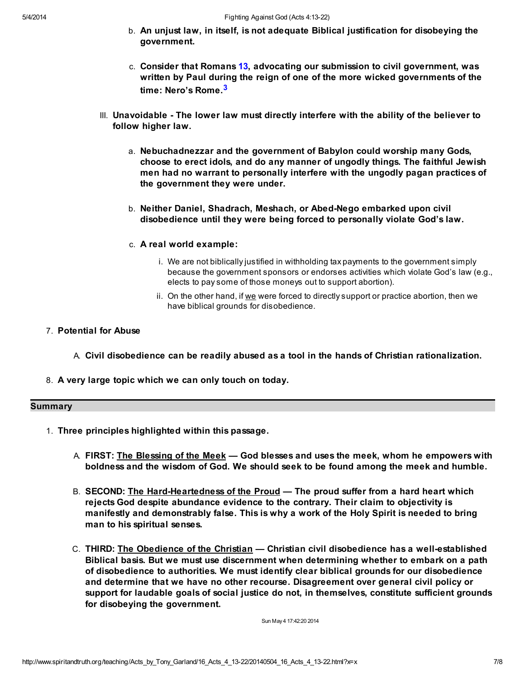- b. An unjust law, in itself, is not adequate Biblical justification for disobeying the government.
- <span id="page-6-0"></span>c. Consider that Romans [13](http://www.spiritandtruth.org/bibles/nasb/b45c013.htm#Rom._C13V1), advocating our submission to civil government, was written by Paul during the reign of one of the more wicked governments of the time: Nero's Rome.<sup>[3](#page-7-4)</sup>
- III. Unavoidable The lower law must directly interfere with the ability of the believer to follow higher law.
	- a. Nebuchadnezzar and the government of Babylon could worship many Gods, choose to erect idols, and do any manner of ungodly things. The faithful Jewish men had no warrant to personally interfere with the ungodly pagan practices of the government they were under.
	- b. Neither Daniel, Shadrach, Meshach, or Abed-Nego embarked upon civil disobedience until they were being forced to personally violate God's law.
	- c. A real world example:
		- i. We are not biblically justified in withholding tax payments to the government simply because the government sponsors or endorses activities which violate God's law (e.g., elects to pay some of those moneys out to support abortion).
		- ii. On the other hand, if we were forced to directly support or practice abortion, then we have biblical grounds for disobedience.
- 7. Potential for Abuse
	- A. Civil disobedience can be readily abused as a tool in the hands of Christian rationalization.
- 8. A very large topic which we can only touch on today.

### Summary

- 1. Three principles highlighted within this passage.
	- A. FIRST: <u>The Blessing of the Meek</u> God blesses and uses the meek, whom he empowers with boldness and the wisdom of God. We should seek to be found among the meek and humble.
	- B. SECOND: The Hard-Heartedness of the Proud The proud suffer from a hard heart which rejects God despite abundance evidence to the contrary. Their claim to objectivity is manifestly and demonstrably false. This is why a work of the Holy Spirit is needed to bring man to his spiritual senses.
	- C. THIRD: The Obedience of the Christian Christian civil disobedience has a well-established Biblical basis. But we must use discernment when determining whether to embark on a path of disobedience to authorities. We must identify clear biblical grounds for our disobedience and determine that we have no other recourse. Disagreement over general civil policy or support for laudable goals of social justice do not, in themselves, constitute sufficient grounds for disobeying the government.

Sun May 4 17:42:20 2014